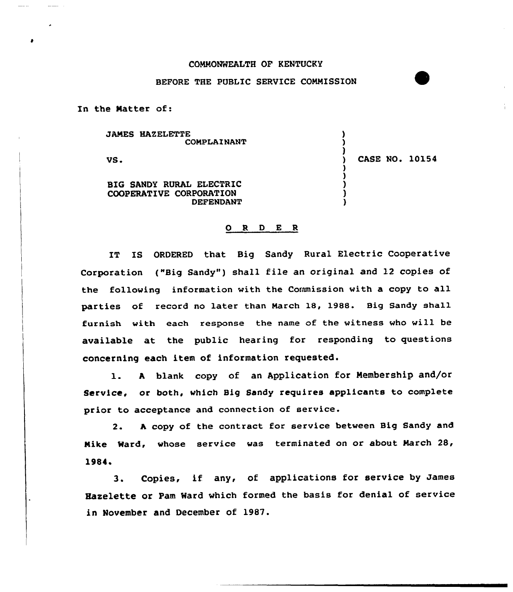## COMMONWEALTH OF KENTUCKY

## BEFORE THE PUBLIC SERUICE COMMISSION

In the Natter of:

JAMES HAZELETTE COMPLAINANT

VS.

) CASE NO. 10154

) )  $\lambda$ 

) ) ) ) )

BIG SANDY RURAL ELECTRIC COOPERATIVE CORPORATION DEPENDANT

## 0 <sup>R</sup> <sup>D</sup> E <sup>R</sup>

IT IS ORDERED that Big Sandy Rural Electric Cooperative Corporation ("Big Sandy") shall file an original and 12 copies of the following information with the Commission with a copy to all parties of record no later than March 18, 1988. Big Sandy shall furnish with each response the name of the witness who will be available at the public hearing for responding to questions concerning each item of information requested.

1. <sup>A</sup> blank copy of an Application for Membership and/or Service, or both, which Big Sandy requires applicants to complete prior to acceptance and connection of service.

2. A copy of the contract for service between Big Sandy and Nike Ward, whose service was terminated on or about March 28,  $1984.$ <sup>3</sup>.

Copies, if any, of applications for service by James Haxelette or Pam Ward which formed the basis for denial of service in November and December of 1987.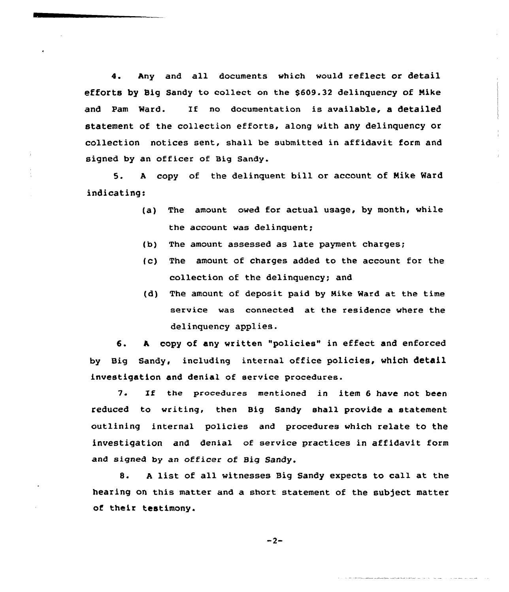4. Any and all documents which would reflect or detail efforts by Big Sandy to collect on the \$609.32 delinquency of Nike and Pam Ward. If no documentation is available, a detailed statement of the collection efforts, along with any delinquency or collection notices sent, shall be submitted in affidavit form and signed by an officer of Big Sandy.

5. <sup>A</sup> copy of the delinquent bill or account of Nike Ward indicating:

- (a) The amount owed for actual usage, by month, while the account was delinquent;
- (b) The amount assessed as late payment charges;
- (c) The amount of charges added to the account for the collection of the delinquency; and
- (d) The amount of deposit paid by Nike Ward at the time service was connected at the residence where the delinquency applies.

6. A, copy of any written "policies" in effect and enforced by Big Sandy, including internal office policies, which detail investigation and denial of service procedures.

7. If the procedures mentioned in item <sup>6</sup> have not been reduced to writing, then Big Sandy shall provide a statement outlining internal policies and procedures which relate to the investigation and denia1 of service practices in affidavit form and signed by an officer of Big Sandy.

8. <sup>A</sup> list of all witnesses Big Sandy expects to call at the hearing on this matter and a short statement of the subject matter of their testimony.

 $-2-$ 

an di kacamatan dan bawah dan bawah dan bawah dan bawah dan bawah dan bawah dan bawah dan bawah dan bawah dan <br>Salah dan bawah dan bawah dan bawah dan bawah dan bawah dan bawah dan bawah dan bawah dan bawah dan bawah dan